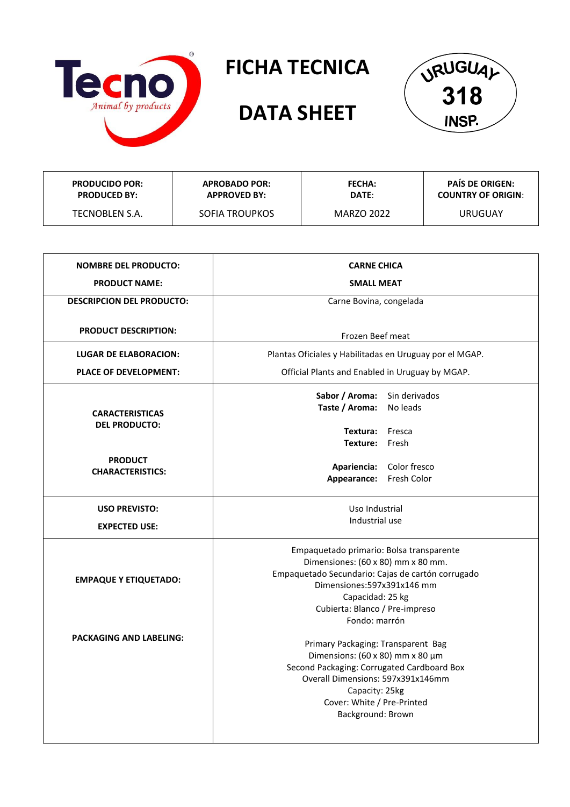

## **FICHA TECNICA**

## **DATA SHEET**



| <b>PRODUCIDO POR:</b> | <b>APROBADO POR:</b> | <b>FECHA:</b> | <b>PAIS DE ORIGEN:</b>    |
|-----------------------|----------------------|---------------|---------------------------|
| <b>PRODUCED BY:</b>   | <b>APPROVED BY:</b>  | DATE:         | <b>COUNTRY OF ORIGIN:</b> |
| TECNOBLEN S.A.        | SOFIA TROUPKOS       | MARZO 2022    | URUGUAY                   |

| <b>NOMBRE DEL PRODUCTO:</b>               | <b>CARNE CHICA</b>                                                                                                                                                                                                                        |  |  |
|-------------------------------------------|-------------------------------------------------------------------------------------------------------------------------------------------------------------------------------------------------------------------------------------------|--|--|
| <b>PRODUCT NAME:</b>                      | <b>SMALL MEAT</b>                                                                                                                                                                                                                         |  |  |
| <b>DESCRIPCION DEL PRODUCTO:</b>          | Carne Bovina, congelada                                                                                                                                                                                                                   |  |  |
| <b>PRODUCT DESCRIPTION:</b>               | Frozen Beef meat                                                                                                                                                                                                                          |  |  |
| <b>LUGAR DE ELABORACION:</b>              | Plantas Oficiales y Habilitadas en Uruguay por el MGAP.                                                                                                                                                                                   |  |  |
| <b>PLACE OF DEVELOPMENT:</b>              | Official Plants and Enabled in Uruguay by MGAP.                                                                                                                                                                                           |  |  |
| <b>CARACTERISTICAS</b>                    | Sabor / Aroma:<br>Sin derivados<br>Taste / Aroma:<br>No leads                                                                                                                                                                             |  |  |
| <b>DEL PRODUCTO:</b>                      | Textura: Fresca<br>Texture: Fresh                                                                                                                                                                                                         |  |  |
| <b>PRODUCT</b><br><b>CHARACTERISTICS:</b> | Apariencia: Color fresco<br>Appearance:<br>Fresh Color                                                                                                                                                                                    |  |  |
| <b>USO PREVISTO:</b>                      | Uso Industrial                                                                                                                                                                                                                            |  |  |
| <b>EXPECTED USE:</b>                      | Industrial use                                                                                                                                                                                                                            |  |  |
| <b>EMPAQUE Y ETIQUETADO:</b>              | Empaquetado primario: Bolsa transparente<br>Dimensiones: (60 x 80) mm x 80 mm.<br>Empaquetado Secundario: Cajas de cartón corrugado<br>Dimensiones: 597x391x146 mm<br>Capacidad: 25 kg<br>Cubierta: Blanco / Pre-impreso<br>Fondo: marrón |  |  |
| <b>PACKAGING AND LABELING:</b>            | Primary Packaging: Transparent Bag<br>Dimensions: (60 x 80) mm x 80 µm<br>Second Packaging: Corrugated Cardboard Box<br>Overall Dimensions: 597x391x146mm<br>Capacity: 25kg<br>Cover: White / Pre-Printed<br>Background: Brown            |  |  |